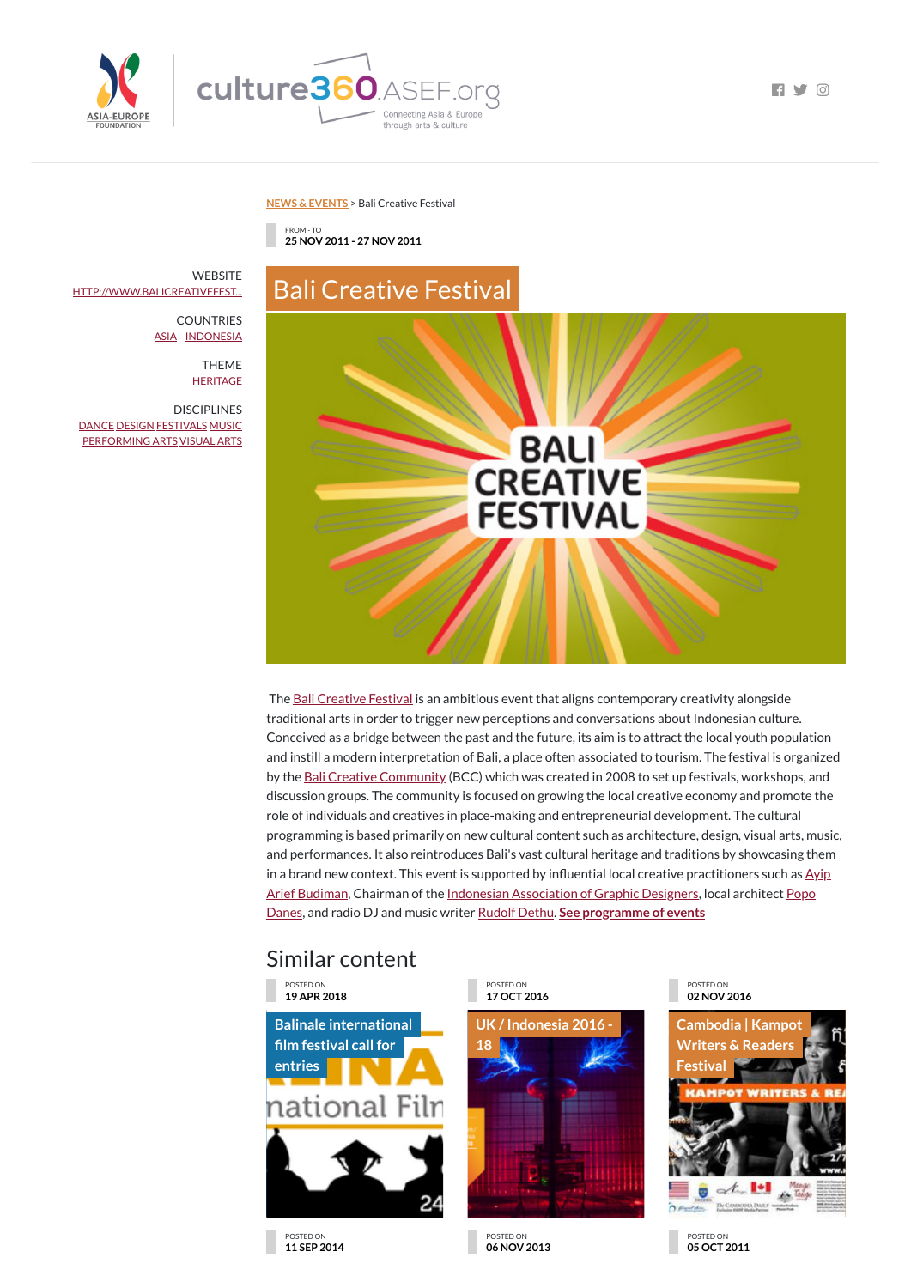

**NEWS & [EVENTS](https://culture360.asef.org/news-events/)** > Bali Creative Festival

## Similar content

FROM - TO **25 NOV 2011 - 27 NOV 2011**

Bali Creative Festival

**WEBSITE** 

The **Bali [Creative](http://www.balicreativefestival.com/) Festival** is an ambitious event that aligns contemporary creativity alongside traditional arts in order to trigger new perceptions and conversations about Indonesian culture. Conceived as a bridge between the past and the future, its aim is to attract the local youth population and instill a modern interpretation of Bali, a place often associated to tourism. The festival is organized by the Bali Creative [Community](http://www.balicreativecommunity.org/) (BCC) which was created in 2008 to set up festivals, workshops, and discussion groups. The community is focused on growing the local creative economy and promote the role of individuals and creatives in place-making and entrepreneurial development. The cultural programming is based primarily on new cultural content such as architecture, design, visual arts, music, and performances. It also reintroduces Bali's vast cultural heritage and traditions by showcasing them in a brand new context. This event is supported by influential local creative [practitioners](http://www.ayipbali.com/) such as  $\frac{Ay}{p}$ Arief Budiman, Chairman of the Indonesian [Association](http://dgi-indonesia.com/) of Graphic Designers, local architect Popo Danes, and radio DJ and music writer [Rudolf](http://www.rudolfdethu.com/) Dethu. **See [programme](http://www.popodanes.com/) of events**

**Balinale [international](https://culture360.asef.org/opportunities/balinale-international-film-festival-call-entries/) lm festival call for entries** national Filn



THEME **[HERITAGE](https://culture360.asef.org/themes/heritage/)** 

**DISCIPLINES** [DANCE](https://culture360.asef.org/disciplines/dance/) [DESIGN](https://culture360.asef.org/disciplines/design/) [FESTIVALS](https://culture360.asef.org/disciplines/festivals/) [MUSIC](https://culture360.asef.org/disciplines/music/) [PERFORMING](https://culture360.asef.org/disciplines/performing-arts/) ARTS [VISUAL](https://culture360.asef.org/disciplines/visual-arts/) ARTS



POSTED ON **19 APR 2018**

POSTED ON **17 OCT 2016**



POSTED ON **02 NOV 2016**



## POSTED ON **11 SEP 2014**

POSTED ON **06 NOV 2013**

POSTED ON **05 OCT 2011**

[HTTP://WWW.BALICREATIVEFEST...](http://www.balicreativefestival.com/)

COUNTRIES [ASIA](https://culture360.asef.org/countries/asia/) [INDONESIA](https://culture360.asef.org/countries/indonesia/)